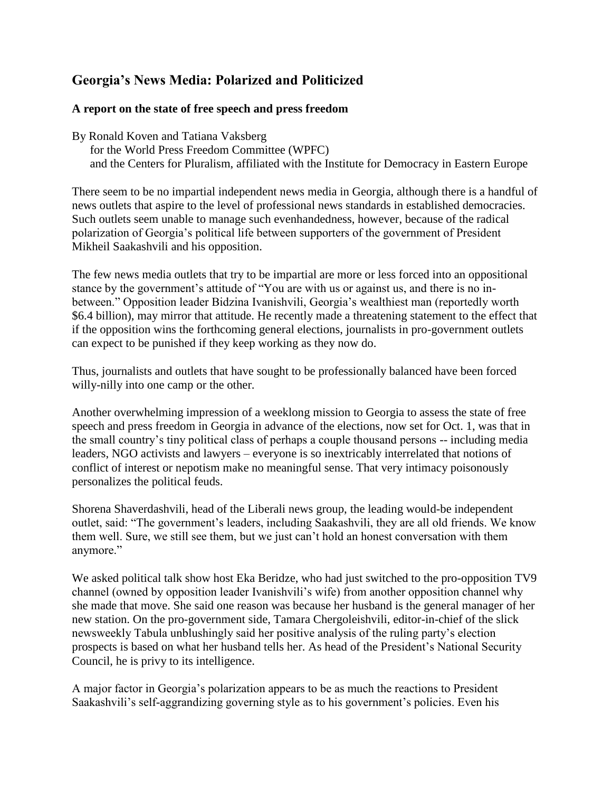# **Georgia's News Media: Polarized and Politicized**

## **A report on the state of free speech and press freedom**

By Ronald Koven and Tatiana Vaksberg

 for the World Press Freedom Committee (WPFC) and the Centers for Pluralism, affiliated with the Institute for Democracy in Eastern Europe

There seem to be no impartial independent news media in Georgia, although there is a handful of news outlets that aspire to the level of professional news standards in established democracies. Such outlets seem unable to manage such evenhandedness, however, because of the radical polarization of Georgia's political life between supporters of the government of President Mikheil Saakashvili and his opposition.

The few news media outlets that try to be impartial are more or less forced into an oppositional stance by the government's attitude of "You are with us or against us, and there is no inbetween." Opposition leader Bidzina Ivanishvili, Georgia's wealthiest man (reportedly worth \$6.4 billion), may mirror that attitude. He recently made a threatening statement to the effect that if the opposition wins the forthcoming general elections, journalists in pro-government outlets can expect to be punished if they keep working as they now do.

Thus, journalists and outlets that have sought to be professionally balanced have been forced willy-nilly into one camp or the other.

Another overwhelming impression of a weeklong mission to Georgia to assess the state of free speech and press freedom in Georgia in advance of the elections, now set for Oct. 1, was that in the small country's tiny political class of perhaps a couple thousand persons -- including media leaders, NGO activists and lawyers – everyone is so inextricably interrelated that notions of conflict of interest or nepotism make no meaningful sense. That very intimacy poisonously personalizes the political feuds.

Shorena Shaverdashvili, head of the Liberali news group, the leading would-be independent outlet, said: "The government's leaders, including Saakashvili, they are all old friends. We know them well. Sure, we still see them, but we just can't hold an honest conversation with them anymore."

We asked political talk show host Eka Beridze, who had just switched to the pro-opposition TV9 channel (owned by opposition leader Ivanishvili's wife) from another opposition channel why she made that move. She said one reason was because her husband is the general manager of her new station. On the pro-government side, Tamara Chergoleishvili, editor-in-chief of the slick newsweekly Tabula unblushingly said her positive analysis of the ruling party's election prospects is based on what her husband tells her. As head of the President's National Security Council, he is privy to its intelligence.

A major factor in Georgia's polarization appears to be as much the reactions to President Saakashvili's self-aggrandizing governing style as to his government's policies. Even his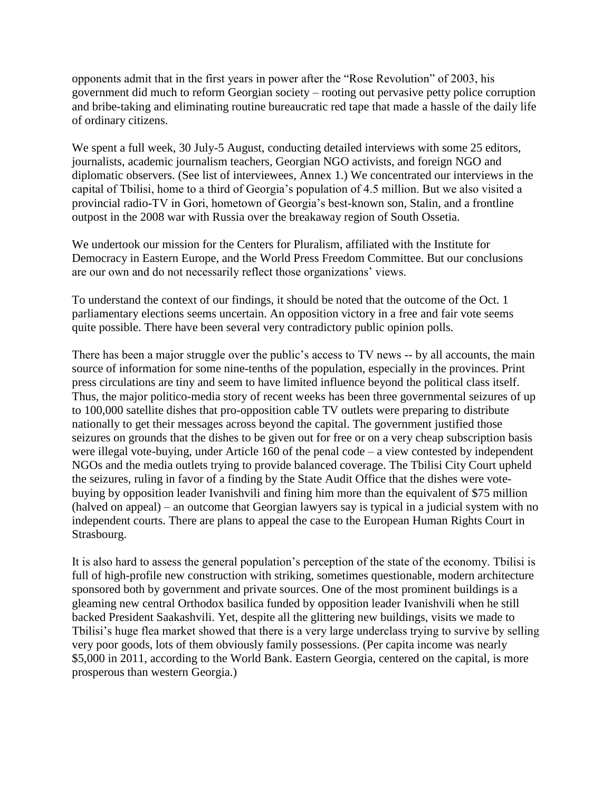opponents admit that in the first years in power after the "Rose Revolution" of 2003, his government did much to reform Georgian society – rooting out pervasive petty police corruption and bribe-taking and eliminating routine bureaucratic red tape that made a hassle of the daily life of ordinary citizens.

We spent a full week, 30 July-5 August, conducting detailed interviews with some 25 editors, journalists, academic journalism teachers, Georgian NGO activists, and foreign NGO and diplomatic observers. (See list of interviewees, Annex 1.) We concentrated our interviews in the capital of Tbilisi, home to a third of Georgia's population of 4.5 million. But we also visited a provincial radio-TV in Gori, hometown of Georgia's best-known son, Stalin, and a frontline outpost in the 2008 war with Russia over the breakaway region of South Ossetia.

We undertook our mission for the Centers for Pluralism, affiliated with the Institute for Democracy in Eastern Europe, and the World Press Freedom Committee. But our conclusions are our own and do not necessarily reflect those organizations' views.

To understand the context of our findings, it should be noted that the outcome of the Oct. 1 parliamentary elections seems uncertain. An opposition victory in a free and fair vote seems quite possible. There have been several very contradictory public opinion polls.

There has been a major struggle over the public's access to TV news -- by all accounts, the main source of information for some nine-tenths of the population, especially in the provinces. Print press circulations are tiny and seem to have limited influence beyond the political class itself. Thus, the major politico-media story of recent weeks has been three governmental seizures of up to 100,000 satellite dishes that pro-opposition cable TV outlets were preparing to distribute nationally to get their messages across beyond the capital. The government justified those seizures on grounds that the dishes to be given out for free or on a very cheap subscription basis were illegal vote-buying, under Article 160 of the penal code – a view contested by independent NGOs and the media outlets trying to provide balanced coverage. The Tbilisi City Court upheld the seizures, ruling in favor of a finding by the State Audit Office that the dishes were votebuying by opposition leader Ivanishvili and fining him more than the equivalent of \$75 million (halved on appeal) – an outcome that Georgian lawyers say is typical in a judicial system with no independent courts. There are plans to appeal the case to the European Human Rights Court in Strasbourg.

It is also hard to assess the general population's perception of the state of the economy. Tbilisi is full of high-profile new construction with striking, sometimes questionable, modern architecture sponsored both by government and private sources. One of the most prominent buildings is a gleaming new central Orthodox basilica funded by opposition leader Ivanishvili when he still backed President Saakashvili. Yet, despite all the glittering new buildings, visits we made to Tbilisi's huge flea market showed that there is a very large underclass trying to survive by selling very poor goods, lots of them obviously family possessions. (Per capita income was nearly \$5,000 in 2011, according to the World Bank. Eastern Georgia, centered on the capital, is more prosperous than western Georgia.)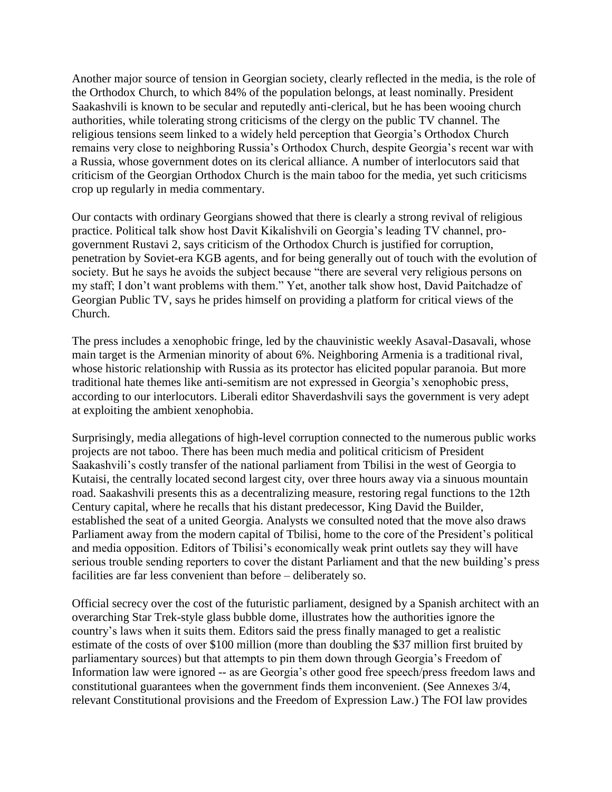Another major source of tension in Georgian society, clearly reflected in the media, is the role of the Orthodox Church, to which 84% of the population belongs, at least nominally. President Saakashvili is known to be secular and reputedly anti-clerical, but he has been wooing church authorities, while tolerating strong criticisms of the clergy on the public TV channel. The religious tensions seem linked to a widely held perception that Georgia's Orthodox Church remains very close to neighboring Russia's Orthodox Church, despite Georgia's recent war with a Russia, whose government dotes on its clerical alliance. A number of interlocutors said that criticism of the Georgian Orthodox Church is the main taboo for the media, yet such criticisms crop up regularly in media commentary.

Our contacts with ordinary Georgians showed that there is clearly a strong revival of religious practice. Political talk show host Davit Kikalishvili on Georgia's leading TV channel, progovernment Rustavi 2, says criticism of the Orthodox Church is justified for corruption, penetration by Soviet-era KGB agents, and for being generally out of touch with the evolution of society. But he says he avoids the subject because "there are several very religious persons on my staff; I don't want problems with them." Yet, another talk show host, David Paitchadze of Georgian Public TV, says he prides himself on providing a platform for critical views of the Church.

The press includes a xenophobic fringe, led by the chauvinistic weekly Asaval-Dasavali, whose main target is the Armenian minority of about 6%. Neighboring Armenia is a traditional rival, whose historic relationship with Russia as its protector has elicited popular paranoia. But more traditional hate themes like anti-semitism are not expressed in Georgia's xenophobic press, according to our interlocutors. Liberali editor Shaverdashvili says the government is very adept at exploiting the ambient xenophobia.

Surprisingly, media allegations of high-level corruption connected to the numerous public works projects are not taboo. There has been much media and political criticism of President Saakashvili's costly transfer of the national parliament from Tbilisi in the west of Georgia to Kutaisi, the centrally located second largest city, over three hours away via a sinuous mountain road. Saakashvili presents this as a decentralizing measure, restoring regal functions to the 12th Century capital, where he recalls that his distant predecessor, King David the Builder, established the seat of a united Georgia. Analysts we consulted noted that the move also draws Parliament away from the modern capital of Tbilisi, home to the core of the President's political and media opposition. Editors of Tbilisi's economically weak print outlets say they will have serious trouble sending reporters to cover the distant Parliament and that the new building's press facilities are far less convenient than before – deliberately so.

Official secrecy over the cost of the futuristic parliament, designed by a Spanish architect with an overarching Star Trek-style glass bubble dome, illustrates how the authorities ignore the country's laws when it suits them. Editors said the press finally managed to get a realistic estimate of the costs of over \$100 million (more than doubling the \$37 million first bruited by parliamentary sources) but that attempts to pin them down through Georgia's Freedom of Information law were ignored -- as are Georgia's other good free speech/press freedom laws and constitutional guarantees when the government finds them inconvenient. (See Annexes 3/4, relevant Constitutional provisions and the Freedom of Expression Law.) The FOI law provides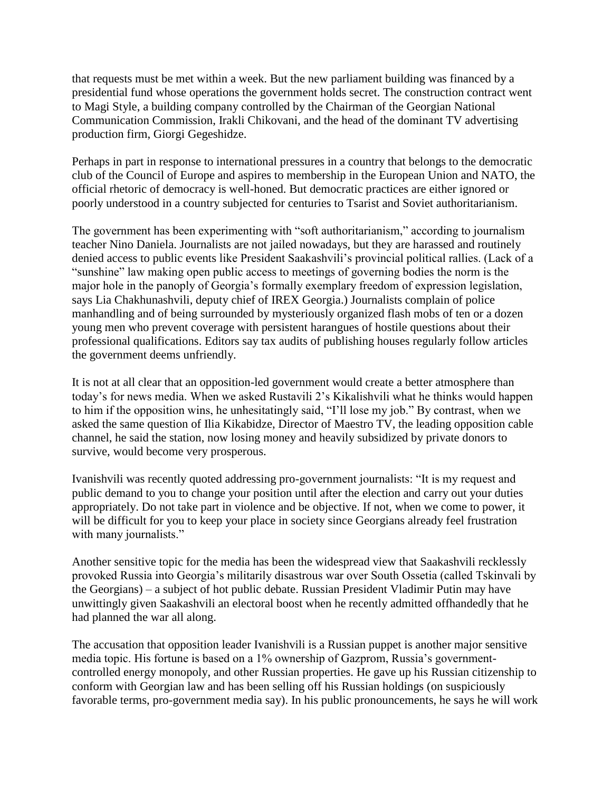that requests must be met within a week. But the new parliament building was financed by a presidential fund whose operations the government holds secret. The construction contract went to Magi Style, a building company controlled by the Chairman of the Georgian National Communication Commission, Irakli Chikovani, and the head of the dominant TV advertising production firm, Giorgi Gegeshidze.

Perhaps in part in response to international pressures in a country that belongs to the democratic club of the Council of Europe and aspires to membership in the European Union and NATO, the official rhetoric of democracy is well-honed. But democratic practices are either ignored or poorly understood in a country subjected for centuries to Tsarist and Soviet authoritarianism.

The government has been experimenting with "soft authoritarianism," according to journalism teacher Nino Daniela. Journalists are not jailed nowadays, but they are harassed and routinely denied access to public events like President Saakashvili's provincial political rallies. (Lack of a "sunshine" law making open public access to meetings of governing bodies the norm is the major hole in the panoply of Georgia's formally exemplary freedom of expression legislation, says Lia Chakhunashvili, deputy chief of IREX Georgia.) Journalists complain of police manhandling and of being surrounded by mysteriously organized flash mobs of ten or a dozen young men who prevent coverage with persistent harangues of hostile questions about their professional qualifications. Editors say tax audits of publishing houses regularly follow articles the government deems unfriendly.

It is not at all clear that an opposition-led government would create a better atmosphere than today's for news media. When we asked Rustavili 2's Kikalishvili what he thinks would happen to him if the opposition wins, he unhesitatingly said, "I'll lose my job." By contrast, when we asked the same question of Ilia Kikabidze, Director of Maestro TV, the leading opposition cable channel, he said the station, now losing money and heavily subsidized by private donors to survive, would become very prosperous.

Ivanishvili was recently quoted addressing pro-government journalists: "It is my request and public demand to you to change your position until after the election and carry out your duties appropriately. Do not take part in violence and be objective. If not, when we come to power, it will be difficult for you to keep your place in society since Georgians already feel frustration with many journalists."

Another sensitive topic for the media has been the widespread view that Saakashvili recklessly provoked Russia into Georgia's militarily disastrous war over South Ossetia (called Tskinvali by the Georgians) – a subject of hot public debate. Russian President Vladimir Putin may have unwittingly given Saakashvili an electoral boost when he recently admitted offhandedly that he had planned the war all along.

The accusation that opposition leader Ivanishvili is a Russian puppet is another major sensitive media topic. His fortune is based on a 1% ownership of Gazprom, Russia's governmentcontrolled energy monopoly, and other Russian properties. He gave up his Russian citizenship to conform with Georgian law and has been selling off his Russian holdings (on suspiciously favorable terms, pro-government media say). In his public pronouncements, he says he will work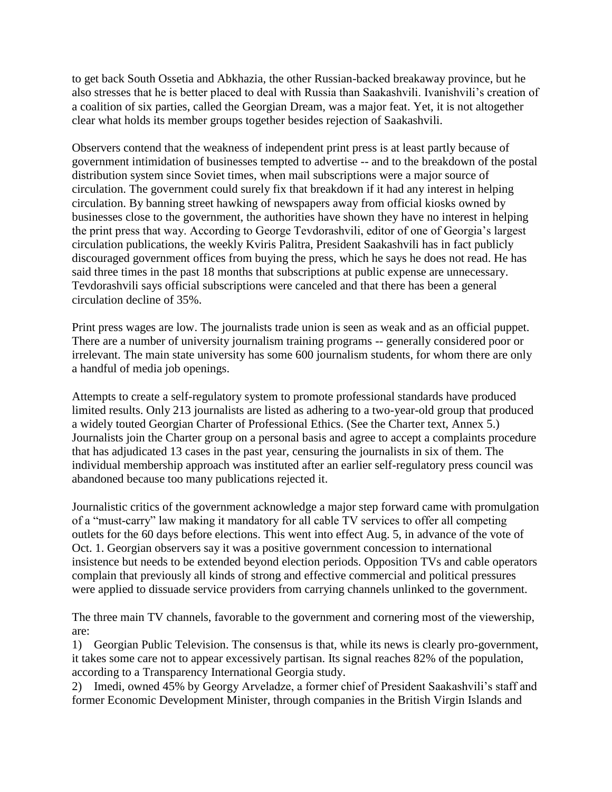to get back South Ossetia and Abkhazia, the other Russian-backed breakaway province, but he also stresses that he is better placed to deal with Russia than Saakashvili. Ivanishvili's creation of a coalition of six parties, called the Georgian Dream, was a major feat. Yet, it is not altogether clear what holds its member groups together besides rejection of Saakashvili.

Observers contend that the weakness of independent print press is at least partly because of government intimidation of businesses tempted to advertise -- and to the breakdown of the postal distribution system since Soviet times, when mail subscriptions were a major source of circulation. The government could surely fix that breakdown if it had any interest in helping circulation. By banning street hawking of newspapers away from official kiosks owned by businesses close to the government, the authorities have shown they have no interest in helping the print press that way. According to George Tevdorashvili, editor of one of Georgia's largest circulation publications, the weekly Kviris Palitra, President Saakashvili has in fact publicly discouraged government offices from buying the press, which he says he does not read. He has said three times in the past 18 months that subscriptions at public expense are unnecessary. Tevdorashvili says official subscriptions were canceled and that there has been a general circulation decline of 35%.

Print press wages are low. The journalists trade union is seen as weak and as an official puppet. There are a number of university journalism training programs -- generally considered poor or irrelevant. The main state university has some 600 journalism students, for whom there are only a handful of media job openings.

Attempts to create a self-regulatory system to promote professional standards have produced limited results. Only 213 journalists are listed as adhering to a two-year-old group that produced a widely touted Georgian Charter of Professional Ethics. (See the Charter text, Annex 5.) Journalists join the Charter group on a personal basis and agree to accept a complaints procedure that has adjudicated 13 cases in the past year, censuring the journalists in six of them. The individual membership approach was instituted after an earlier self-regulatory press council was abandoned because too many publications rejected it.

Journalistic critics of the government acknowledge a major step forward came with promulgation of a "must-carry" law making it mandatory for all cable TV services to offer all competing outlets for the 60 days before elections. This went into effect Aug. 5, in advance of the vote of Oct. 1. Georgian observers say it was a positive government concession to international insistence but needs to be extended beyond election periods. Opposition TVs and cable operators complain that previously all kinds of strong and effective commercial and political pressures were applied to dissuade service providers from carrying channels unlinked to the government.

The three main TV channels, favorable to the government and cornering most of the viewership, are:

1) Georgian Public Television. The consensus is that, while its news is clearly pro-government, it takes some care not to appear excessively partisan. Its signal reaches 82% of the population, according to a Transparency International Georgia study.

2) Imedi, owned 45% by Georgy Arveladze, a former chief of President Saakashvili's staff and former Economic Development Minister, through companies in the British Virgin Islands and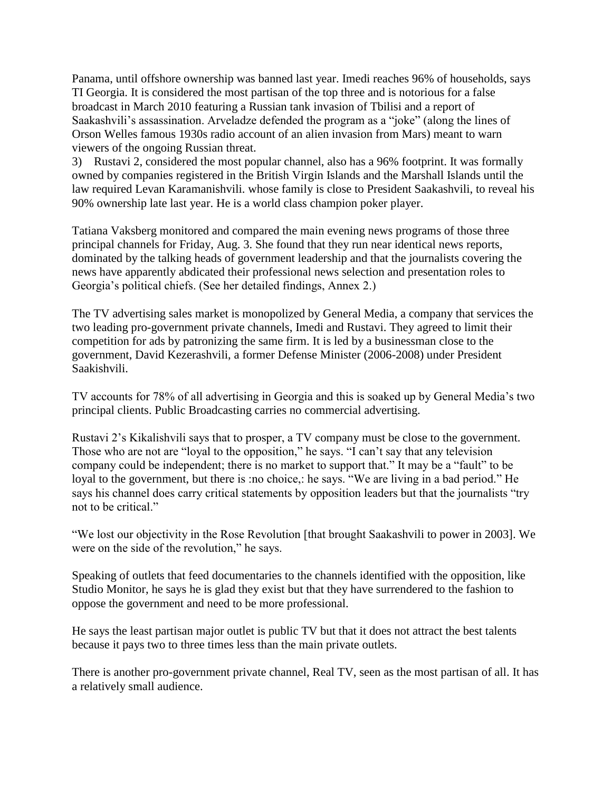Panama, until offshore ownership was banned last year. Imedi reaches 96% of households, says TI Georgia. It is considered the most partisan of the top three and is notorious for a false broadcast in March 2010 featuring a Russian tank invasion of Tbilisi and a report of Saakashvili's assassination. Arveladze defended the program as a "joke" (along the lines of Orson Welles famous 1930s radio account of an alien invasion from Mars) meant to warn viewers of the ongoing Russian threat.

3) Rustavi 2, considered the most popular channel, also has a 96% footprint. It was formally owned by companies registered in the British Virgin Islands and the Marshall Islands until the law required Levan Karamanishvili. whose family is close to President Saakashvili, to reveal his 90% ownership late last year. He is a world class champion poker player.

Tatiana Vaksberg monitored and compared the main evening news programs of those three principal channels for Friday, Aug. 3. She found that they run near identical news reports, dominated by the talking heads of government leadership and that the journalists covering the news have apparently abdicated their professional news selection and presentation roles to Georgia's political chiefs. (See her detailed findings, Annex 2.)

The TV advertising sales market is monopolized by General Media, a company that services the two leading pro-government private channels, Imedi and Rustavi. They agreed to limit their competition for ads by patronizing the same firm. It is led by a businessman close to the government, David Kezerashvili, a former Defense Minister (2006-2008) under President Saakishvili.

TV accounts for 78% of all advertising in Georgia and this is soaked up by General Media's two principal clients. Public Broadcasting carries no commercial advertising.

Rustavi 2's Kikalishvili says that to prosper, a TV company must be close to the government. Those who are not are "loyal to the opposition," he says. "I can't say that any television company could be independent; there is no market to support that." It may be a "fault" to be loyal to the government, but there is :no choice,: he says. "We are living in a bad period." He says his channel does carry critical statements by opposition leaders but that the journalists "try not to be critical."

"We lost our objectivity in the Rose Revolution [that brought Saakashvili to power in 2003]. We were on the side of the revolution," he says.

Speaking of outlets that feed documentaries to the channels identified with the opposition, like Studio Monitor, he says he is glad they exist but that they have surrendered to the fashion to oppose the government and need to be more professional.

He says the least partisan major outlet is public TV but that it does not attract the best talents because it pays two to three times less than the main private outlets.

There is another pro-government private channel, Real TV, seen as the most partisan of all. It has a relatively small audience.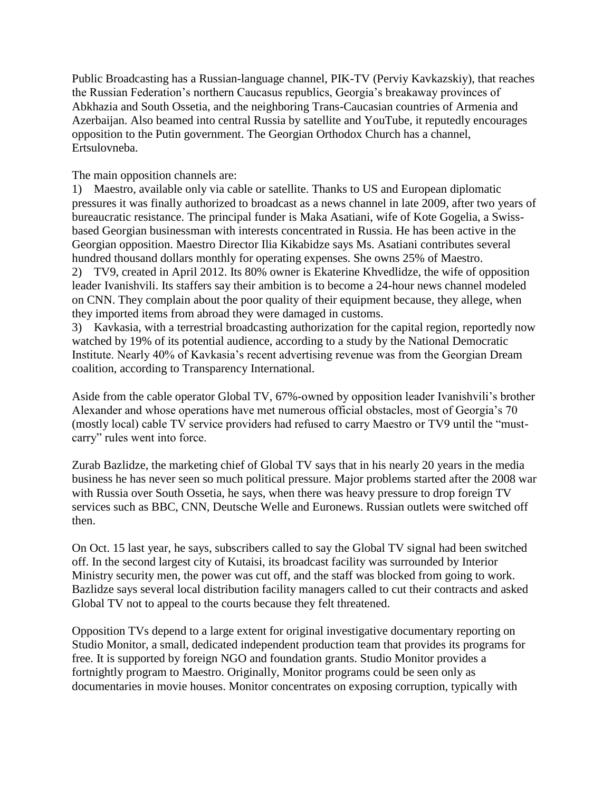Public Broadcasting has a Russian-language channel, PIK-TV (Perviy Kavkazskiy), that reaches the Russian Federation's northern Caucasus republics, Georgia's breakaway provinces of Abkhazia and South Ossetia, and the neighboring Trans-Caucasian countries of Armenia and Azerbaijan. Also beamed into central Russia by satellite and YouTube, it reputedly encourages opposition to the Putin government. The Georgian Orthodox Church has a channel, Ertsulovneba.

The main opposition channels are:

1) Maestro, available only via cable or satellite. Thanks to US and European diplomatic pressures it was finally authorized to broadcast as a news channel in late 2009, after two years of bureaucratic resistance. The principal funder is Maka Asatiani, wife of Kote Gogelia, a Swissbased Georgian businessman with interests concentrated in Russia. He has been active in the Georgian opposition. Maestro Director Ilia Kikabidze says Ms. Asatiani contributes several hundred thousand dollars monthly for operating expenses. She owns 25% of Maestro. 2) TV9, created in April 2012. Its 80% owner is Ekaterine Khvedlidze, the wife of opposition leader Ivanishvili. Its staffers say their ambition is to become a 24-hour news channel modeled on CNN. They complain about the poor quality of their equipment because, they allege, when they imported items from abroad they were damaged in customs.

3) Kavkasia, with a terrestrial broadcasting authorization for the capital region, reportedly now watched by 19% of its potential audience, according to a study by the National Democratic Institute. Nearly 40% of Kavkasia's recent advertising revenue was from the Georgian Dream coalition, according to Transparency International.

Aside from the cable operator Global TV, 67%-owned by opposition leader Ivanishvili's brother Alexander and whose operations have met numerous official obstacles, most of Georgia's 70 (mostly local) cable TV service providers had refused to carry Maestro or TV9 until the "mustcarry" rules went into force.

Zurab Bazlidze, the marketing chief of Global TV says that in his nearly 20 years in the media business he has never seen so much political pressure. Major problems started after the 2008 war with Russia over South Ossetia, he says, when there was heavy pressure to drop foreign TV services such as BBC, CNN, Deutsche Welle and Euronews. Russian outlets were switched off then.

On Oct. 15 last year, he says, subscribers called to say the Global TV signal had been switched off. In the second largest city of Kutaisi, its broadcast facility was surrounded by Interior Ministry security men, the power was cut off, and the staff was blocked from going to work. Bazlidze says several local distribution facility managers called to cut their contracts and asked Global TV not to appeal to the courts because they felt threatened.

Opposition TVs depend to a large extent for original investigative documentary reporting on Studio Monitor, a small, dedicated independent production team that provides its programs for free. It is supported by foreign NGO and foundation grants. Studio Monitor provides a fortnightly program to Maestro. Originally, Monitor programs could be seen only as documentaries in movie houses. Monitor concentrates on exposing corruption, typically with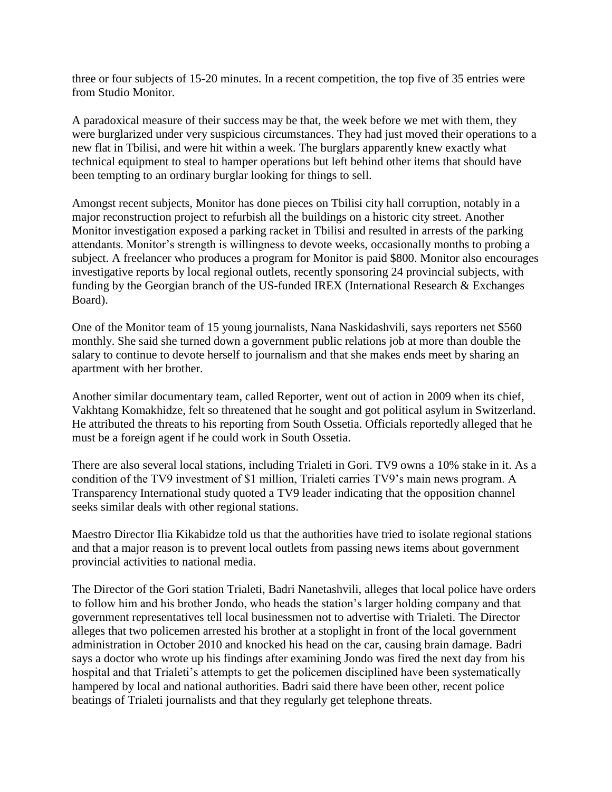three or four subjects of 15-20 minutes. In a recent competition, the top five of 35 entries were from Studio Monitor.

A paradoxical measure of their success may be that, the week before we met with them, they were burglarized under very suspicious circumstances. They had just moved their operations to a new flat in Tbilisi, and were hit within a week. The burglars apparently knew exactly what technical equipment to steal to hamper operations but left behind other items that should have been tempting to an ordinary burglar looking for things to sell.

Amongst recent subjects, Monitor has done pieces on Tbilisi city hall corruption, notably in a major reconstruction project to refurbish all the buildings on a historic city street. Another Monitor investigation exposed a parking racket in Tbilisi and resulted in arrests of the parking attendants. Monitor's strength is willingness to devote weeks, occasionally months to probing a subject. A freelancer who produces a program for Monitor is paid \$800. Monitor also encourages investigative reports by local regional outlets, recently sponsoring 24 provincial subjects, with funding by the Georgian branch of the US-funded IREX (International Research & Exchanges Board).

One of the Monitor team of 15 young journalists, Nana Naskidashvili, says reporters net \$560 monthly. She said she turned down a government public relations job at more than double the salary to continue to devote herself to journalism and that she makes ends meet by sharing an apartment with her brother.

Another similar documentary team, called Reporter, went out of action in 2009 when its chief, Vakhtang Komakhidze, felt so threatened that he sought and got political asylum in Switzerland. He attributed the threats to his reporting from South Ossetia. Officials reportedly alleged that he must be a foreign agent if he could work in South Ossetia.

There are also several local stations, including Trialeti in Gori. TV9 owns a 10% stake in it. As a condition of the TV9 investment of \$1 million, Trialeti carries TV9's main news program. A Transparency International study quoted a TV9 leader indicating that the opposition channel seeks similar deals with other regional stations.

Maestro Director Ilia Kikabidze told us that the authorities have tried to isolate regional stations and that a major reason is to prevent local outlets from passing news items about government provincial activities to national media.

The Director of the Gori station Trialeti, Badri Nanetashvili, alleges that local police have orders to follow him and his brother Jondo, who heads the station's larger holding company and that government representatives tell local businessmen not to advertise with Trialeti. The Director alleges that two policemen arrested his brother at a stoplight in front of the local government administration in October 2010 and knocked his head on the car, causing brain damage. Badri says a doctor who wrote up his findings after examining Jondo was fired the next day from his hospital and that Trialeti's attempts to get the policemen disciplined have been systematically hampered by local and national authorities. Badri said there have been other, recent police beatings of Trialeti journalists and that they regularly get telephone threats.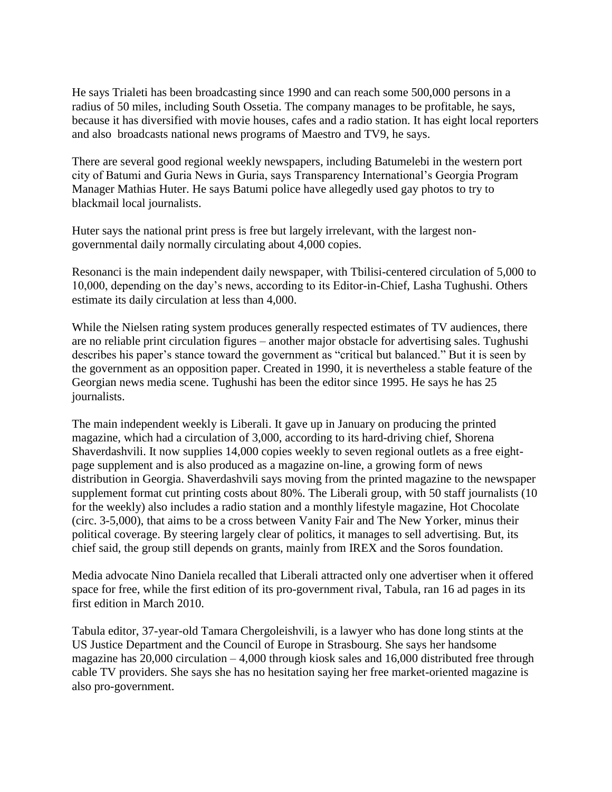He says Trialeti has been broadcasting since 1990 and can reach some 500,000 persons in a radius of 50 miles, including South Ossetia. The company manages to be profitable, he says, because it has diversified with movie houses, cafes and a radio station. It has eight local reporters and also broadcasts national news programs of Maestro and TV9, he says.

There are several good regional weekly newspapers, including Batumelebi in the western port city of Batumi and Guria News in Guria, says Transparency International's Georgia Program Manager Mathias Huter. He says Batumi police have allegedly used gay photos to try to blackmail local journalists.

Huter says the national print press is free but largely irrelevant, with the largest nongovernmental daily normally circulating about 4,000 copies.

Resonanci is the main independent daily newspaper, with Tbilisi-centered circulation of 5,000 to 10,000, depending on the day's news, according to its Editor-in-Chief, Lasha Tughushi. Others estimate its daily circulation at less than 4,000.

While the Nielsen rating system produces generally respected estimates of TV audiences, there are no reliable print circulation figures – another major obstacle for advertising sales. Tughushi describes his paper's stance toward the government as "critical but balanced." But it is seen by the government as an opposition paper. Created in 1990, it is nevertheless a stable feature of the Georgian news media scene. Tughushi has been the editor since 1995. He says he has 25 journalists.

The main independent weekly is Liberali. It gave up in January on producing the printed magazine, which had a circulation of 3,000, according to its hard-driving chief, Shorena Shaverdashvili. It now supplies 14,000 copies weekly to seven regional outlets as a free eightpage supplement and is also produced as a magazine on-line, a growing form of news distribution in Georgia. Shaverdashvili says moving from the printed magazine to the newspaper supplement format cut printing costs about 80%. The Liberali group, with 50 staff journalists (10 for the weekly) also includes a radio station and a monthly lifestyle magazine, Hot Chocolate (circ. 3-5,000), that aims to be a cross between Vanity Fair and The New Yorker, minus their political coverage. By steering largely clear of politics, it manages to sell advertising. But, its chief said, the group still depends on grants, mainly from IREX and the Soros foundation.

Media advocate Nino Daniela recalled that Liberali attracted only one advertiser when it offered space for free, while the first edition of its pro-government rival, Tabula, ran 16 ad pages in its first edition in March 2010.

Tabula editor, 37-year-old Tamara Chergoleishvili, is a lawyer who has done long stints at the US Justice Department and the Council of Europe in Strasbourg. She says her handsome magazine has  $20,000$  circulation  $-4,000$  through kiosk sales and 16,000 distributed free through cable TV providers. She says she has no hesitation saying her free market-oriented magazine is also pro-government.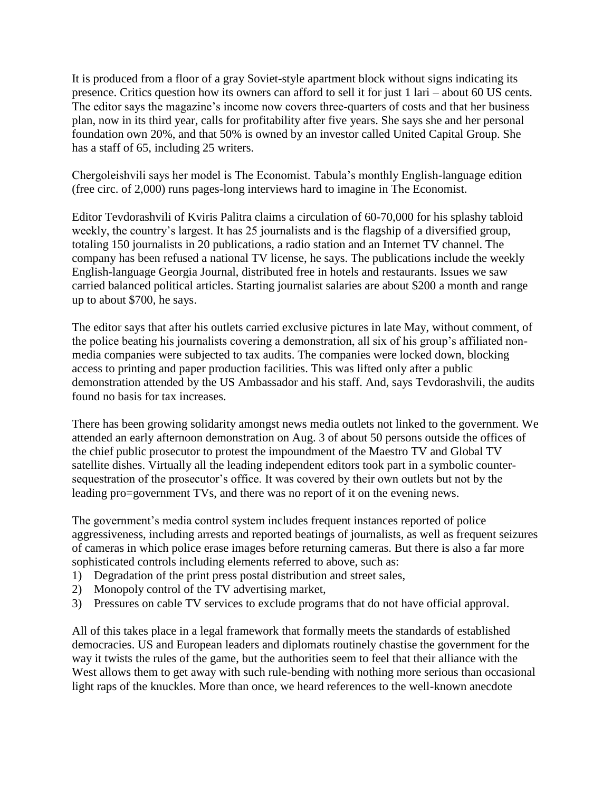It is produced from a floor of a gray Soviet-style apartment block without signs indicating its presence. Critics question how its owners can afford to sell it for just 1 lari – about 60 US cents. The editor says the magazine's income now covers three-quarters of costs and that her business plan, now in its third year, calls for profitability after five years. She says she and her personal foundation own 20%, and that 50% is owned by an investor called United Capital Group. She has a staff of 65, including 25 writers.

Chergoleishvili says her model is The Economist. Tabula's monthly English-language edition (free circ. of 2,000) runs pages-long interviews hard to imagine in The Economist.

Editor Tevdorashvili of Kviris Palitra claims a circulation of 60-70,000 for his splashy tabloid weekly, the country's largest. It has 25 journalists and is the flagship of a diversified group, totaling 150 journalists in 20 publications, a radio station and an Internet TV channel. The company has been refused a national TV license, he says. The publications include the weekly English-language Georgia Journal, distributed free in hotels and restaurants. Issues we saw carried balanced political articles. Starting journalist salaries are about \$200 a month and range up to about \$700, he says.

The editor says that after his outlets carried exclusive pictures in late May, without comment, of the police beating his journalists covering a demonstration, all six of his group's affiliated nonmedia companies were subjected to tax audits. The companies were locked down, blocking access to printing and paper production facilities. This was lifted only after a public demonstration attended by the US Ambassador and his staff. And, says Tevdorashvili, the audits found no basis for tax increases.

There has been growing solidarity amongst news media outlets not linked to the government. We attended an early afternoon demonstration on Aug. 3 of about 50 persons outside the offices of the chief public prosecutor to protest the impoundment of the Maestro TV and Global TV satellite dishes. Virtually all the leading independent editors took part in a symbolic countersequestration of the prosecutor's office. It was covered by their own outlets but not by the leading pro=government TVs, and there was no report of it on the evening news.

The government's media control system includes frequent instances reported of police aggressiveness, including arrests and reported beatings of journalists, as well as frequent seizures of cameras in which police erase images before returning cameras. But there is also a far more sophisticated controls including elements referred to above, such as:

- 1) Degradation of the print press postal distribution and street sales,
- 2) Monopoly control of the TV advertising market,
- 3) Pressures on cable TV services to exclude programs that do not have official approval.

All of this takes place in a legal framework that formally meets the standards of established democracies. US and European leaders and diplomats routinely chastise the government for the way it twists the rules of the game, but the authorities seem to feel that their alliance with the West allows them to get away with such rule-bending with nothing more serious than occasional light raps of the knuckles. More than once, we heard references to the well-known anecdote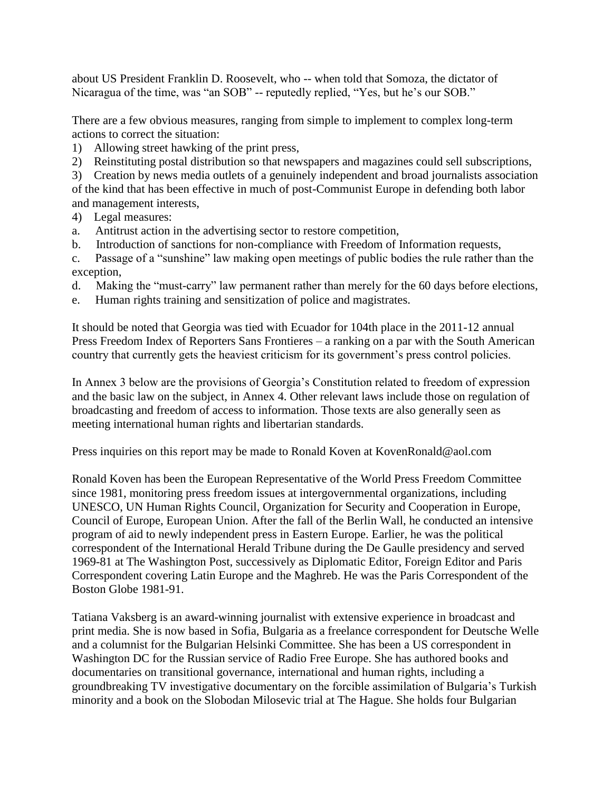about US President Franklin D. Roosevelt, who -- when told that Somoza, the dictator of Nicaragua of the time, was "an SOB" -- reputedly replied, "Yes, but he's our SOB."

There are a few obvious measures, ranging from simple to implement to complex long-term actions to correct the situation:

- 1) Allowing street hawking of the print press,
- 2) Reinstituting postal distribution so that newspapers and magazines could sell subscriptions,

3) Creation by news media outlets of a genuinely independent and broad journalists association of the kind that has been effective in much of post-Communist Europe in defending both labor and management interests,

- 4) Legal measures:
- a. Antitrust action in the advertising sector to restore competition,
- b. Introduction of sanctions for non-compliance with Freedom of Information requests,

c. Passage of a "sunshine" law making open meetings of public bodies the rule rather than the exception,

- d. Making the "must-carry" law permanent rather than merely for the 60 days before elections,
- e. Human rights training and sensitization of police and magistrates.

It should be noted that Georgia was tied with Ecuador for 104th place in the 2011-12 annual Press Freedom Index of Reporters Sans Frontieres – a ranking on a par with the South American country that currently gets the heaviest criticism for its government's press control policies.

In Annex 3 below are the provisions of Georgia's Constitution related to freedom of expression and the basic law on the subject, in Annex 4. Other relevant laws include those on regulation of broadcasting and freedom of access to information. Those texts are also generally seen as meeting international human rights and libertarian standards.

Press inquiries on this report may be made to Ronald Koven at KovenRonald@aol.com

Ronald Koven has been the European Representative of the World Press Freedom Committee since 1981, monitoring press freedom issues at intergovernmental organizations, including UNESCO, UN Human Rights Council, Organization for Security and Cooperation in Europe, Council of Europe, European Union. After the fall of the Berlin Wall, he conducted an intensive program of aid to newly independent press in Eastern Europe. Earlier, he was the political correspondent of the International Herald Tribune during the De Gaulle presidency and served 1969-81 at The Washington Post, successively as Diplomatic Editor, Foreign Editor and Paris Correspondent covering Latin Europe and the Maghreb. He was the Paris Correspondent of the Boston Globe 1981-91.

Tatiana Vaksberg is an award-winning journalist with extensive experience in broadcast and print media. She is now based in Sofia, Bulgaria as a freelance correspondent for Deutsche Welle and a columnist for the Bulgarian Helsinki Committee. She has been a US correspondent in Washington DC for the Russian service of Radio Free Europe. She has authored books and documentaries on transitional governance, international and human rights, including a groundbreaking TV investigative documentary on the forcible assimilation of Bulgaria's Turkish minority and a book on the Slobodan Milosevic trial at The Hague. She holds four Bulgarian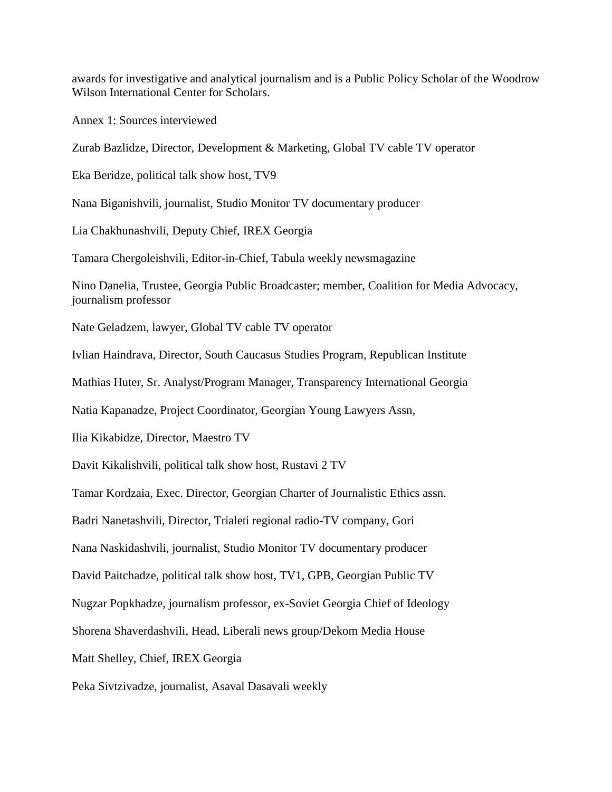awards for investigative and analytical journalism and is a Public Policy Scholar of the Woodrow Wilson International Center for Scholars.

Annex 1: Sources interviewed

Zurab Bazlidze, Director, Development & Marketing, Global TV cable TV operator

Eka Beridze, political talk show host, TV9

Nana Biganishvili, journalist, Studio Monitor TV documentary producer

Lia Chakhunashvili, Deputy Chief, IREX Georgia

Tamara Chergoleishvili, Editor-in-Chief, Tabula weekly newsmagazine

Nino Danelia, Trustee, Georgia Public Broadcaster; member, Coalition for Media Advocacy, journalism professor

Nate Geladzem, lawyer, Global TV cable TV operator

Ivlian Haindrava, Director, South Caucasus Studies Program, Republican Institute

Mathias Huter, Sr. Analyst/Program Manager, Transparency International Georgia

Natia Kapanadze, Project Coordinator, Georgian Young Lawyers Assn,

Ilia Kikabidze, Director, Maestro TV

Davit Kikalishvili, political talk show host, Rustavi 2 TV

Tamar Kordzaia, Exec. Director, Georgian Charter of Journalistic Ethics assn.

Badri Nanetashvili, Director, Trialeti regional radio-TV company, Gori

Nana Naskidashvili, journalist, Studio Monitor TV documentary producer

David Paitchadze, political talk show host, TV1, GPB, Georgian Public TV

Nugzar Popkhadze, journalism professor, ex-Soviet Georgia Chief of Ideology

Shorena Shaverdashvili, Head, Liberali news group/Dekom Media House

Matt Shelley, Chief, IREX Georgia

Peka Sivtzivadze, journalist, Asaval Dasavali weekly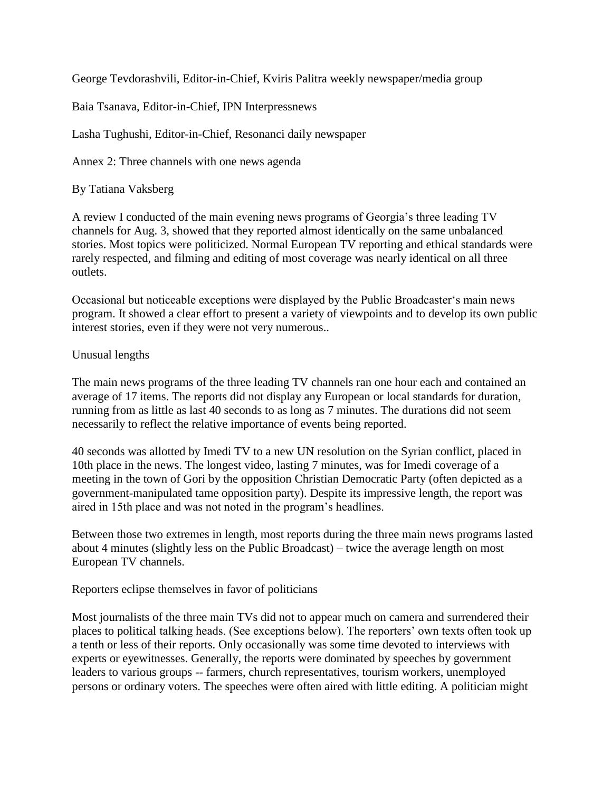George Tevdorashvili, Editor-in-Chief, Kviris Palitra weekly newspaper/media group

Baia Tsanava, Editor-in-Chief, IPN Interpressnews

Lasha Tughushi, Editor-in-Chief, Resonanci daily newspaper

Annex 2: Three channels with one news agenda

By Tatiana Vaksberg

A review I conducted of the main evening news programs of Georgia's three leading TV channels for Aug. 3, showed that they reported almost identically on the same unbalanced stories. Most topics were politicized. Normal European TV reporting and ethical standards were rarely respected, and filming and editing of most coverage was nearly identical on all three outlets.

Occasional but noticeable exceptions were displayed by the Public Broadcaster's main news program. It showed a clear effort to present a variety of viewpoints and to develop its own public interest stories, even if they were not very numerous..

### Unusual lengths

The main news programs of the three leading TV channels ran one hour each and contained an average of 17 items. The reports did not display any European or local standards for duration, running from as little as last 40 seconds to as long as 7 minutes. The durations did not seem necessarily to reflect the relative importance of events being reported.

40 seconds was allotted by Imedi TV to a new UN resolution on the Syrian conflict, placed in 10th place in the news. The longest video, lasting 7 minutes, was for Imedi coverage of a meeting in the town of Gori by the opposition Christian Democratic Party (often depicted as a government-manipulated tame opposition party). Despite its impressive length, the report was aired in 15th place and was not noted in the program's headlines.

Between those two extremes in length, most reports during the three main news programs lasted about 4 minutes (slightly less on the Public Broadcast) – twice the average length on most European TV channels.

#### Reporters eclipse themselves in favor of politicians

Most journalists of the three main TVs did not to appear much on camera and surrendered their places to political talking heads. (See exceptions below). The reporters' own texts often took up a tenth or less of their reports. Only occasionally was some time devoted to interviews with experts or eyewitnesses. Generally, the reports were dominated by speeches by government leaders to various groups -- farmers, church representatives, tourism workers, unemployed persons or ordinary voters. The speeches were often aired with little editing. A politician might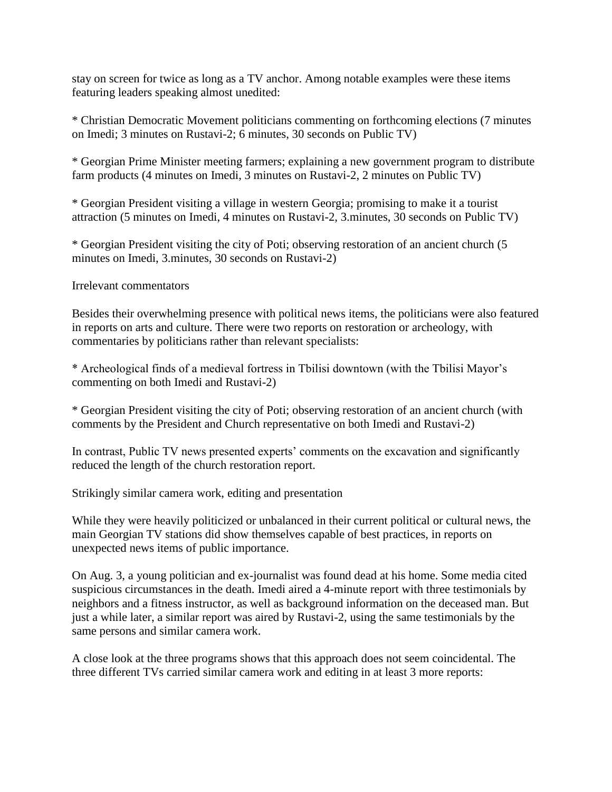stay on screen for twice as long as a TV anchor. Among notable examples were these items featuring leaders speaking almost unedited:

\* Christian Democratic Movement politicians commenting on forthcoming elections (7 minutes on Imedi; 3 minutes on Rustavi-2; 6 minutes, 30 seconds on Public TV)

\* Georgian Prime Minister meeting farmers; explaining a new government program to distribute farm products (4 minutes on Imedi, 3 minutes on Rustavi-2, 2 minutes on Public TV)

\* Georgian President visiting a village in western Georgia; promising to make it a tourist attraction (5 minutes on Imedi, 4 minutes on Rustavi-2, 3.minutes, 30 seconds on Public TV)

\* Georgian President visiting the city of Poti; observing restoration of an ancient church (5 minutes on Imedi, 3.minutes, 30 seconds on Rustavi-2)

Irrelevant commentators

Besides their overwhelming presence with political news items, the politicians were also featured in reports on arts and culture. There were two reports on restoration or archeology, with commentaries by politicians rather than relevant specialists:

\* Archeological finds of a medieval fortress in Tbilisi downtown (with the Tbilisi Mayor's commenting on both Imedi and Rustavi-2)

\* Georgian President visiting the city of Poti; observing restoration of an ancient church (with comments by the President and Church representative on both Imedi and Rustavi-2)

In contrast, Public TV news presented experts' comments on the excavation and significantly reduced the length of the church restoration report.

Strikingly similar camera work, editing and presentation

While they were heavily politicized or unbalanced in their current political or cultural news, the main Georgian TV stations did show themselves capable of best practices, in reports on unexpected news items of public importance.

On Aug. 3, a young politician and ex-journalist was found dead at his home. Some media cited suspicious circumstances in the death. Imedi aired a 4-minute report with three testimonials by neighbors and a fitness instructor, as well as background information on the deceased man. But just a while later, a similar report was aired by Rustavi-2, using the same testimonials by the same persons and similar camera work.

A close look at the three programs shows that this approach does not seem coincidental. The three different TVs carried similar camera work and editing in at least 3 more reports: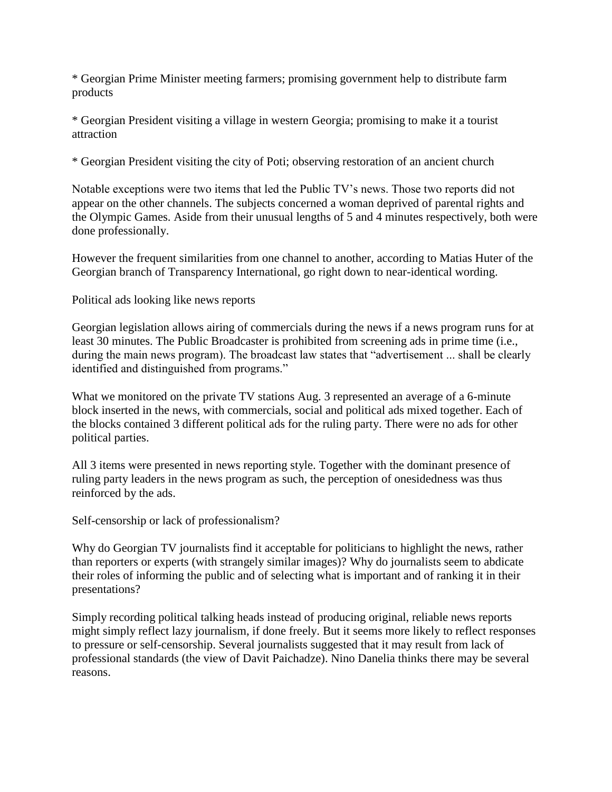\* Georgian Prime Minister meeting farmers; promising government help to distribute farm products

\* Georgian President visiting a village in western Georgia; promising to make it a tourist attraction

\* Georgian President visiting the city of Poti; observing restoration of an ancient church

Notable exceptions were two items that led the Public TV's news. Those two reports did not appear on the other channels. The subjects concerned a woman deprived of parental rights and the Olympic Games. Aside from their unusual lengths of 5 and 4 minutes respectively, both were done professionally.

However the frequent similarities from one channel to another, according to Matias Huter of the Georgian branch of Transparency International, go right down to near-identical wording.

Political ads looking like news reports

Georgian legislation allows airing of commercials during the news if a news program runs for at least 30 minutes. The Public Broadcaster is prohibited from screening ads in prime time (i.e., during the main news program). The broadcast law states that "advertisement ... shall be clearly identified and distinguished from programs."

What we monitored on the private TV stations Aug. 3 represented an average of a 6-minute block inserted in the news, with commercials, social and political ads mixed together. Each of the blocks contained 3 different political ads for the ruling party. There were no ads for other political parties.

All 3 items were presented in news reporting style. Together with the dominant presence of ruling party leaders in the news program as such, the perception of onesidedness was thus reinforced by the ads.

Self-censorship or lack of professionalism?

Why do Georgian TV journalists find it acceptable for politicians to highlight the news, rather than reporters or experts (with strangely similar images)? Why do journalists seem to abdicate their roles of informing the public and of selecting what is important and of ranking it in their presentations?

Simply recording political talking heads instead of producing original, reliable news reports might simply reflect lazy journalism, if done freely. But it seems more likely to reflect responses to pressure or self-censorship. Several journalists suggested that it may result from lack of professional standards (the view of Davit Paichadze). Nino Danelia thinks there may be several reasons.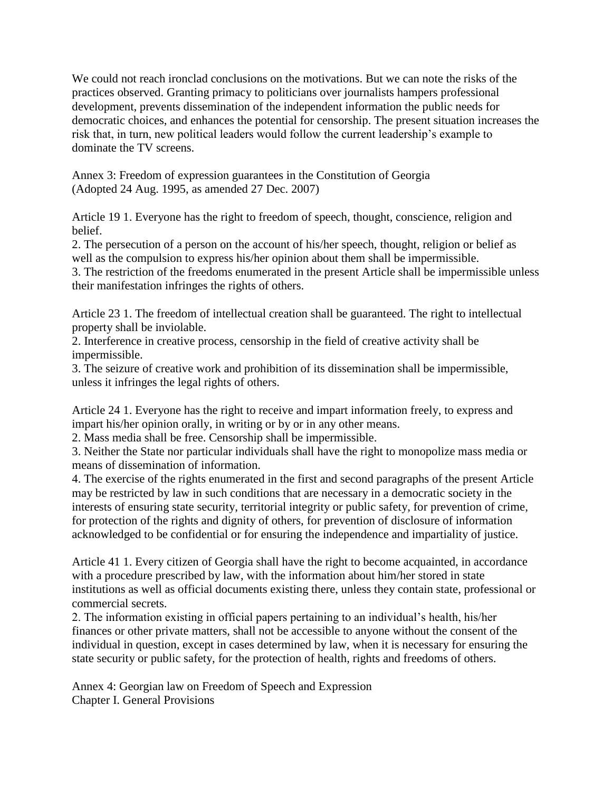We could not reach ironclad conclusions on the motivations. But we can note the risks of the practices observed. Granting primacy to politicians over journalists hampers professional development, prevents dissemination of the independent information the public needs for democratic choices, and enhances the potential for censorship. The present situation increases the risk that, in turn, new political leaders would follow the current leadership's example to dominate the TV screens.

Annex 3: Freedom of expression guarantees in the Constitution of Georgia (Adopted 24 Aug. 1995, as amended 27 Dec. 2007)

Article 19 1. Everyone has the right to freedom of speech, thought, conscience, religion and belief.

2. The persecution of a person on the account of his/her speech, thought, religion or belief as well as the compulsion to express his/her opinion about them shall be impermissible.

3. The restriction of the freedoms enumerated in the present Article shall be impermissible unless their manifestation infringes the rights of others.

Article 23 1. The freedom of intellectual creation shall be guaranteed. The right to intellectual property shall be inviolable.

2. Interference in creative process, censorship in the field of creative activity shall be impermissible.

3. The seizure of creative work and prohibition of its dissemination shall be impermissible, unless it infringes the legal rights of others.

Article 24 1. Everyone has the right to receive and impart information freely, to express and impart his/her opinion orally, in writing or by or in any other means.

2. Mass media shall be free. Censorship shall be impermissible.

3. Neither the State nor particular individuals shall have the right to monopolize mass media or means of dissemination of information.

4. The exercise of the rights enumerated in the first and second paragraphs of the present Article may be restricted by law in such conditions that are necessary in a democratic society in the interests of ensuring state security, territorial integrity or public safety, for prevention of crime, for protection of the rights and dignity of others, for prevention of disclosure of information acknowledged to be confidential or for ensuring the independence and impartiality of justice.

Article 41 1. Every citizen of Georgia shall have the right to become acquainted, in accordance with a procedure prescribed by law, with the information about him/her stored in state institutions as well as official documents existing there, unless they contain state, professional or commercial secrets.

2. The information existing in official papers pertaining to an individual's health, his/her finances or other private matters, shall not be accessible to anyone without the consent of the individual in question, except in cases determined by law, when it is necessary for ensuring the state security or public safety, for the protection of health, rights and freedoms of others.

Annex 4: Georgian law on Freedom of Speech and Expression Chapter I. General Provisions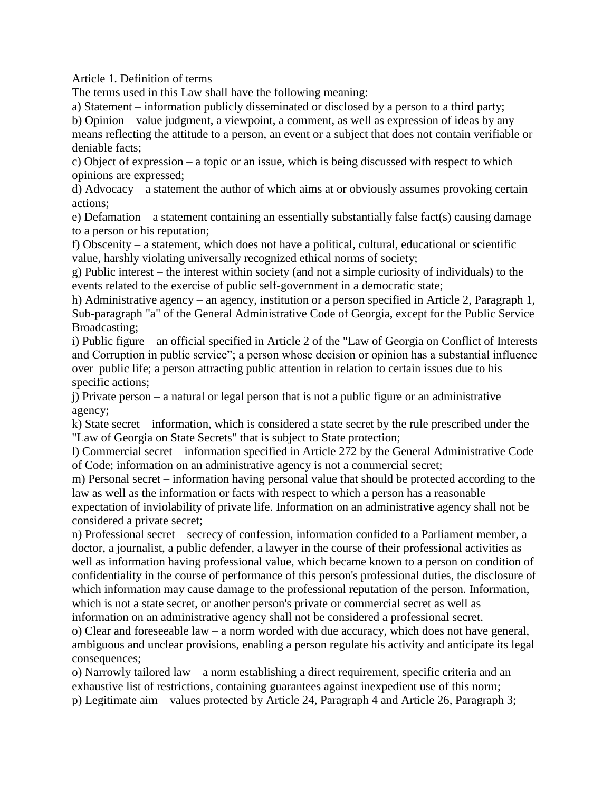Article 1. Definition of terms

The terms used in this Law shall have the following meaning:

a) Statement – information publicly disseminated or disclosed by a person to a third party;

b) Opinion – value judgment, a viewpoint, a comment, as well as expression of ideas by any means reflecting the attitude to a person, an event or a subject that does not contain verifiable or deniable facts;

c) Object of expression – a topic or an issue, which is being discussed with respect to which opinions are expressed;

d) Advocacy – a statement the author of which aims at or obviously assumes provoking certain actions;

e) Defamation – a statement containing an essentially substantially false fact(s) causing damage to a person or his reputation;

f) Obscenity – a statement, which does not have a political, cultural, educational or scientific value, harshly violating universally recognized ethical norms of society;

g) Public interest – the interest within society (and not a simple curiosity of individuals) to the events related to the exercise of public self-government in a democratic state;

h) Administrative agency – an agency, institution or a person specified in Article 2, Paragraph 1, Sub-paragraph "a" of the General Administrative Code of Georgia, except for the Public Service Broadcasting;

i) Public figure – an official specified in Article 2 of the "Law of Georgia on Conflict of Interests and Corruption in public service"; a person whose decision or opinion has a substantial influence over public life; a person attracting public attention in relation to certain issues due to his specific actions;

j) Private person – a natural or legal person that is not a public figure or an administrative agency;

k) State secret – information, which is considered a state secret by the rule prescribed under the "Law of Georgia on State Secrets" that is subject to State protection;

l) Commercial secret – information specified in Article 272 by the General Administrative Code of Code; information on an administrative agency is not a commercial secret;

m) Personal secret – information having personal value that should be protected according to the law as well as the information or facts with respect to which a person has a reasonable expectation of inviolability of private life. Information on an administrative agency shall not be

considered a private secret;

n) Professional secret – secrecy of confession, information confided to a Parliament member, a doctor, a journalist, a public defender, a lawyer in the course of their professional activities as well as information having professional value, which became known to a person on condition of confidentiality in the course of performance of this person's professional duties, the disclosure of which information may cause damage to the professional reputation of the person. Information, which is not a state secret, or another person's private or commercial secret as well as information on an administrative agency shall not be considered a professional secret.

o) Clear and foreseeable law – a norm worded with due accuracy, which does not have general, ambiguous and unclear provisions, enabling a person regulate his activity and anticipate its legal consequences;

o) Narrowly tailored law – a norm establishing a direct requirement, specific criteria and an exhaustive list of restrictions, containing guarantees against inexpedient use of this norm; p) Legitimate aim – values protected by Article 24, Paragraph 4 and Article 26, Paragraph 3;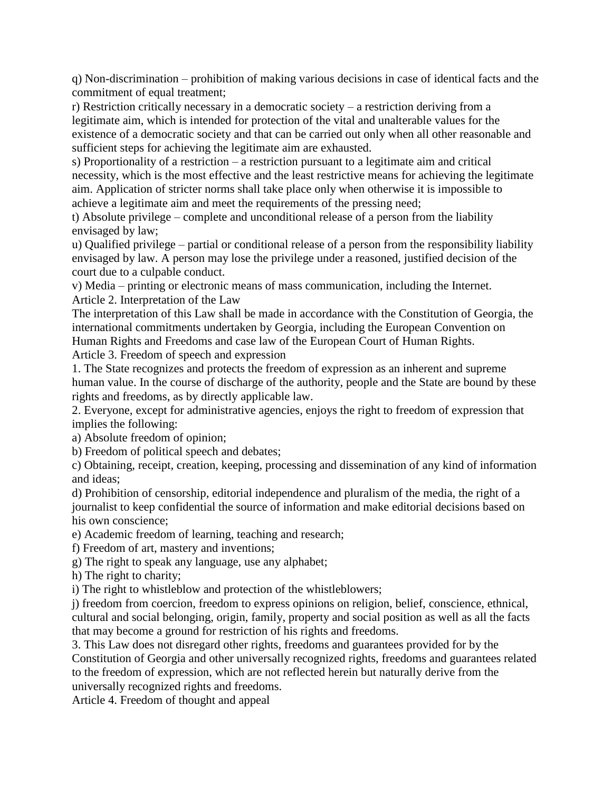q) Non-discrimination – prohibition of making various decisions in case of identical facts and the commitment of equal treatment;

r) Restriction critically necessary in a democratic society – a restriction deriving from a legitimate aim, which is intended for protection of the vital and unalterable values for the existence of a democratic society and that can be carried out only when all other reasonable and sufficient steps for achieving the legitimate aim are exhausted.

s) Proportionality of a restriction – a restriction pursuant to a legitimate aim and critical necessity, which is the most effective and the least restrictive means for achieving the legitimate aim. Application of stricter norms shall take place only when otherwise it is impossible to achieve a legitimate aim and meet the requirements of the pressing need;

t) Absolute privilege – complete and unconditional release of a person from the liability envisaged by law;

u) Qualified privilege – partial or conditional release of a person from the responsibility liability envisaged by law. A person may lose the privilege under a reasoned, justified decision of the court due to a culpable conduct.

v) Media – printing or electronic means of mass communication, including the Internet. Article 2. Interpretation of the Law

The interpretation of this Law shall be made in accordance with the Constitution of Georgia, the international commitments undertaken by Georgia, including the European Convention on Human Rights and Freedoms and case law of the European Court of Human Rights.

Article 3. Freedom of speech and expression

1. The State recognizes and protects the freedom of expression as an inherent and supreme human value. In the course of discharge of the authority, people and the State are bound by these rights and freedoms, as by directly applicable law.

2. Everyone, except for administrative agencies, enjoys the right to freedom of expression that implies the following:

a) Absolute freedom of opinion;

b) Freedom of political speech and debates;

c) Obtaining, receipt, creation, keeping, processing and dissemination of any kind of information and ideas;

d) Prohibition of censorship, editorial independence and pluralism of the media, the right of a journalist to keep confidential the source of information and make editorial decisions based on his own conscience;

e) Academic freedom of learning, teaching and research;

f) Freedom of art, mastery and inventions;

g) The right to speak any language, use any alphabet;

h) The right to charity;

i) The right to whistleblow and protection of the whistleblowers;

j) freedom from coercion, freedom to express opinions on religion, belief, conscience, ethnical, cultural and social belonging, origin, family, property and social position as well as all the facts that may become a ground for restriction of his rights and freedoms.

3. This Law does not disregard other rights, freedoms and guarantees provided for by the Constitution of Georgia and other universally recognized rights, freedoms and guarantees related to the freedom of expression, which are not reflected herein but naturally derive from the universally recognized rights and freedoms.

Article 4. Freedom of thought and appeal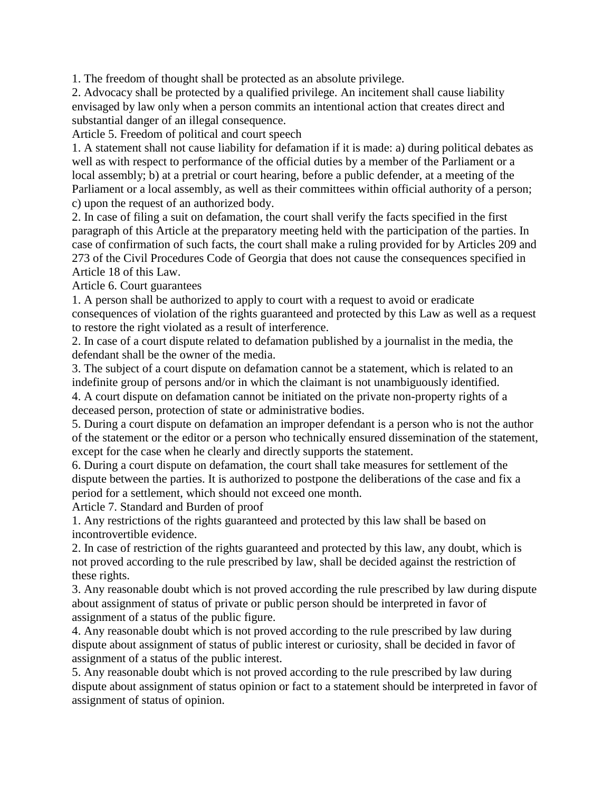1. The freedom of thought shall be protected as an absolute privilege.

2. Advocacy shall be protected by a qualified privilege. An incitement shall cause liability envisaged by law only when a person commits an intentional action that creates direct and substantial danger of an illegal consequence.

Article 5. Freedom of political and court speech

1. A statement shall not cause liability for defamation if it is made: a) during political debates as well as with respect to performance of the official duties by a member of the Parliament or a local assembly; b) at a pretrial or court hearing, before a public defender, at a meeting of the Parliament or a local assembly, as well as their committees within official authority of a person; c) upon the request of an authorized body.

2. In case of filing a suit on defamation, the court shall verify the facts specified in the first paragraph of this Article at the preparatory meeting held with the participation of the parties. In case of confirmation of such facts, the court shall make a ruling provided for by Articles 209 and 273 of the Civil Procedures Code of Georgia that does not cause the consequences specified in Article 18 of this Law.

Article 6. Court guarantees

1. A person shall be authorized to apply to court with a request to avoid or eradicate consequences of violation of the rights guaranteed and protected by this Law as well as a request to restore the right violated as a result of interference.

2. In case of a court dispute related to defamation published by a journalist in the media, the defendant shall be the owner of the media.

3. The subject of a court dispute on defamation cannot be a statement, which is related to an indefinite group of persons and/or in which the claimant is not unambiguously identified.

4. A court dispute on defamation cannot be initiated on the private non-property rights of a deceased person, protection of state or administrative bodies.

5. During a court dispute on defamation an improper defendant is a person who is not the author of the statement or the editor or a person who technically ensured dissemination of the statement, except for the case when he clearly and directly supports the statement.

6. During a court dispute on defamation, the court shall take measures for settlement of the dispute between the parties. It is authorized to postpone the deliberations of the case and fix a period for a settlement, which should not exceed one month.

Article 7. Standard and Burden of proof

1. Any restrictions of the rights guaranteed and protected by this law shall be based on incontrovertible evidence.

2. In case of restriction of the rights guaranteed and protected by this law, any doubt, which is not proved according to the rule prescribed by law, shall be decided against the restriction of these rights.

3. Any reasonable doubt which is not proved according the rule prescribed by law during dispute about assignment of status of private or public person should be interpreted in favor of assignment of a status of the public figure.

4. Any reasonable doubt which is not proved according to the rule prescribed by law during dispute about assignment of status of public interest or curiosity, shall be decided in favor of assignment of a status of the public interest.

5. Any reasonable doubt which is not proved according to the rule prescribed by law during dispute about assignment of status opinion or fact to a statement should be interpreted in favor of assignment of status of opinion.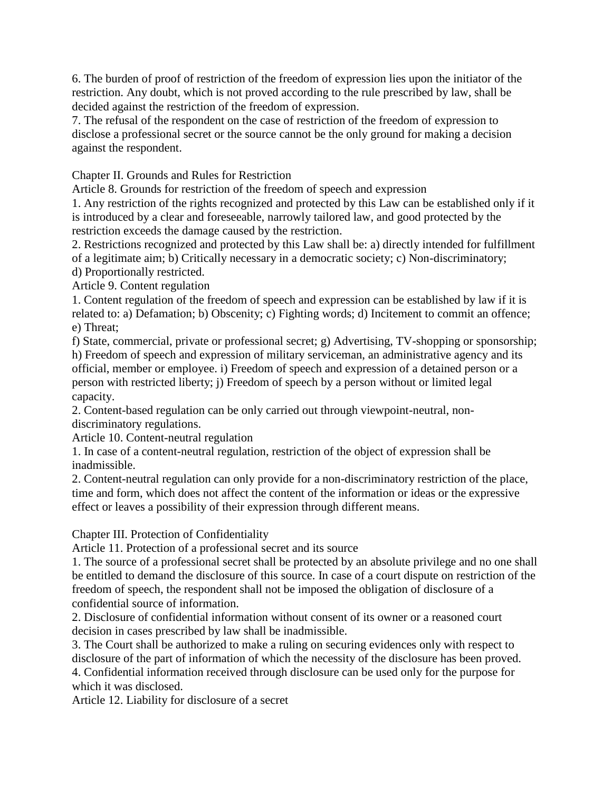6. The burden of proof of restriction of the freedom of expression lies upon the initiator of the restriction. Any doubt, which is not proved according to the rule prescribed by law, shall be decided against the restriction of the freedom of expression.

7. The refusal of the respondent on the case of restriction of the freedom of expression to disclose a professional secret or the source cannot be the only ground for making a decision against the respondent.

Chapter II. Grounds and Rules for Restriction

Article 8. Grounds for restriction of the freedom of speech and expression

1. Any restriction of the rights recognized and protected by this Law can be established only if it is introduced by a clear and foreseeable, narrowly tailored law, and good protected by the restriction exceeds the damage caused by the restriction.

2. Restrictions recognized and protected by this Law shall be: a) directly intended for fulfillment of a legitimate aim; b) Critically necessary in a democratic society; c) Non-discriminatory;

d) Proportionally restricted.

Article 9. Content regulation

1. Content regulation of the freedom of speech and expression can be established by law if it is related to: a) Defamation; b) Obscenity; c) Fighting words; d) Incitement to commit an offence; e) Threat;

f) State, commercial, private or professional secret; g) Advertising, TV-shopping or sponsorship; h) Freedom of speech and expression of military serviceman, an administrative agency and its official, member or employee. i) Freedom of speech and expression of a detained person or a person with restricted liberty; j) Freedom of speech by a person without or limited legal capacity.

2. Content-based regulation can be only carried out through viewpoint-neutral, nondiscriminatory regulations.

Article 10. Content-neutral regulation

1. In case of a content-neutral regulation, restriction of the object of expression shall be inadmissible.

2. Content-neutral regulation can only provide for a non-discriminatory restriction of the place, time and form, which does not affect the content of the information or ideas or the expressive effect or leaves a possibility of their expression through different means.

Chapter III. Protection of Confidentiality

Article 11. Protection of a professional secret and its source

1. The source of a professional secret shall be protected by an absolute privilege and no one shall be entitled to demand the disclosure of this source. In case of a court dispute on restriction of the freedom of speech, the respondent shall not be imposed the obligation of disclosure of a confidential source of information.

2. Disclosure of confidential information without consent of its owner or a reasoned court decision in cases prescribed by law shall be inadmissible.

3. The Court shall be authorized to make a ruling on securing evidences only with respect to disclosure of the part of information of which the necessity of the disclosure has been proved.

4. Confidential information received through disclosure can be used only for the purpose for which it was disclosed.

Article 12. Liability for disclosure of a secret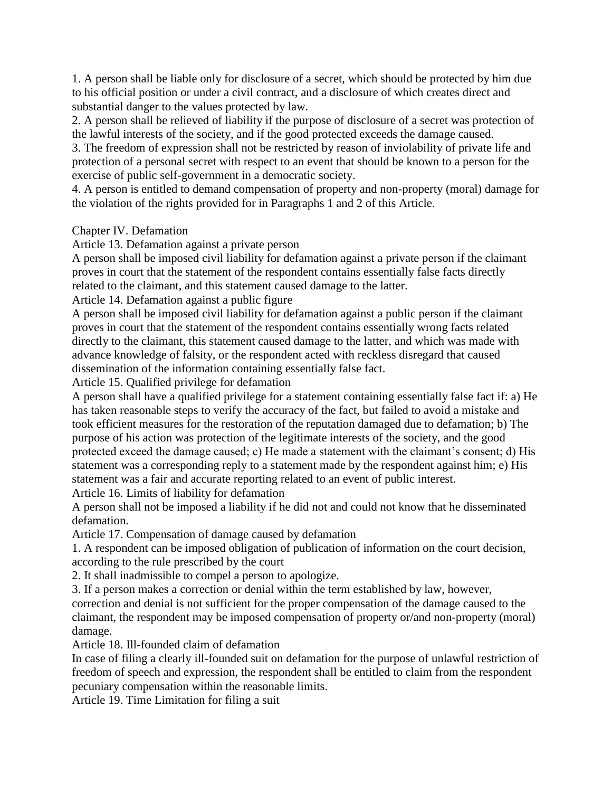1. A person shall be liable only for disclosure of a secret, which should be protected by him due to his official position or under a civil contract, and a disclosure of which creates direct and substantial danger to the values protected by law.

2. A person shall be relieved of liability if the purpose of disclosure of a secret was protection of the lawful interests of the society, and if the good protected exceeds the damage caused.

3. The freedom of expression shall not be restricted by reason of inviolability of private life and protection of a personal secret with respect to an event that should be known to a person for the exercise of public self-government in a democratic society.

4. A person is entitled to demand compensation of property and non-property (moral) damage for the violation of the rights provided for in Paragraphs 1 and 2 of this Article.

### Chapter IV. Defamation

Article 13. Defamation against a private person

A person shall be imposed civil liability for defamation against a private person if the claimant proves in court that the statement of the respondent contains essentially false facts directly related to the claimant, and this statement caused damage to the latter.

Article 14. Defamation against a public figure

A person shall be imposed civil liability for defamation against a public person if the claimant proves in court that the statement of the respondent contains essentially wrong facts related directly to the claimant, this statement caused damage to the latter, and which was made with advance knowledge of falsity, or the respondent acted with reckless disregard that caused dissemination of the information containing essentially false fact.

Article 15. Qualified privilege for defamation

A person shall have a qualified privilege for a statement containing essentially false fact if: a) He has taken reasonable steps to verify the accuracy of the fact, but failed to avoid a mistake and took efficient measures for the restoration of the reputation damaged due to defamation; b) The purpose of his action was protection of the legitimate interests of the society, and the good protected exceed the damage caused; c) He made a statement with the claimant's consent; d) His statement was a corresponding reply to a statement made by the respondent against him; e) His statement was a fair and accurate reporting related to an event of public interest. Article 16. Limits of liability for defamation

A person shall not be imposed a liability if he did not and could not know that he disseminated defamation.

Article 17. Compensation of damage caused by defamation

1. A respondent can be imposed obligation of publication of information on the court decision, according to the rule prescribed by the court

2. It shall inadmissible to compel a person to apologize.

3. If a person makes a correction or denial within the term established by law, however, correction and denial is not sufficient for the proper compensation of the damage caused to the claimant, the respondent may be imposed compensation of property or/and non-property (moral) damage.

Article 18. Ill-founded claim of defamation

In case of filing a clearly ill-founded suit on defamation for the purpose of unlawful restriction of freedom of speech and expression, the respondent shall be entitled to claim from the respondent pecuniary compensation within the reasonable limits.

Article 19. Time Limitation for filing a suit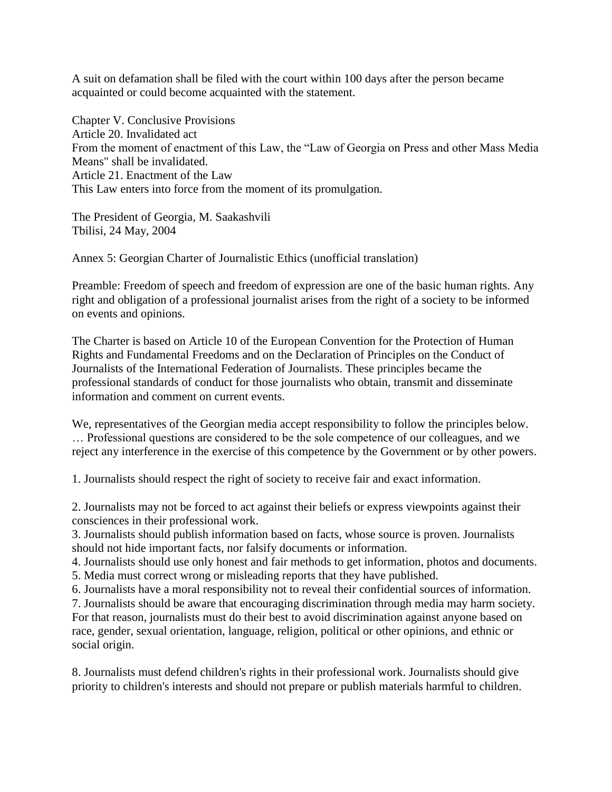A suit on defamation shall be filed with the court within 100 days after the person became acquainted or could become acquainted with the statement.

Chapter V. Conclusive Provisions Article 20. Invalidated act From the moment of enactment of this Law, the "Law of Georgia on Press and other Mass Media Means" shall be invalidated. Article 21. Enactment of the Law This Law enters into force from the moment of its promulgation.

The President of Georgia, M. Saakashvili Tbilisi, 24 May, 2004

Annex 5: Georgian Charter of Journalistic Ethics (unofficial translation)

Preamble: Freedom of speech and freedom of expression are one of the basic human rights. Any right and obligation of a professional journalist arises from the right of a society to be informed on events and opinions.

The Charter is based on Article 10 of the European Convention for the Protection of Human Rights and Fundamental Freedoms and on the Declaration of Principles on the Conduct of Journalists of the International Federation of Journalists. These principles became the professional standards of conduct for those journalists who obtain, transmit and disseminate information and comment on current events.

We, representatives of the Georgian media accept responsibility to follow the principles below. … Professional questions are considered to be the sole competence of our colleagues, and we reject any interference in the exercise of this competence by the Government or by other powers.

1. Journalists should respect the right of society to receive fair and exact information.

2. Journalists may not be forced to act against their beliefs or express viewpoints against their consciences in their professional work.

3. Journalists should publish information based on facts, whose source is proven. Journalists should not hide important facts, nor falsify documents or information.

4. Journalists should use only honest and fair methods to get information, photos and documents. 5. Media must correct wrong or misleading reports that they have published.

6. Journalists have a moral responsibility not to reveal their confidential sources of information.

7. Journalists should be aware that encouraging discrimination through media may harm society. For that reason, journalists must do their best to avoid discrimination against anyone based on

race, gender, sexual orientation, language, religion, political or other opinions, and ethnic or social origin.

8. Journalists must defend children's rights in their professional work. Journalists should give priority to children's interests and should not prepare or publish materials harmful to children.